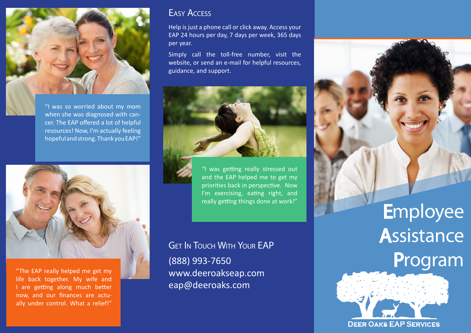

"I was so worried about my mom when she was diagnosed with cancer. The EAP offered a lot of helpful resources! Now, I'm actually feeling hopeful and strong. Thank you EAP!"



"The EAP really helped me get my life back together. My wife and I are getting along much better now, and our finances are actually under control. What a relief!"

### Easy Access

Help is just a phone call or click away. Access your EAP 24 hours per day, 7 days per week, 365 days per year.

Simply call the toll-free number, visit the website, or send an e-mail for helpful resources, guidance, and support.



"I was getting really stressed out and the EAP helped me to get my priorities back in perspective. Now I'm exercising, eating right, and really getting things done at work!"

**GET IN TOUCH WITH YOUR EAP** (888) 993-7650 www.deeroakseap.com eap@deeroaks.com

# **Employee**

# **Assistance** Program